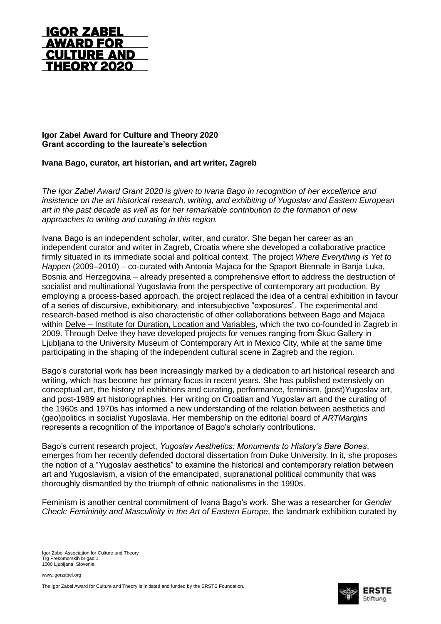

## **Igor Zabel Award for Culture and Theory 2020 Grant according to the laureate's selection**

## **Ivana Bago, curator, art historian, and art writer, Zagreb**

*The Igor Zabel Award Grant 2020 is given to Ivana Bago in recognition of her excellence and insistence on the art historical research, writing, and exhibiting of Yugoslav and Eastern European art in the past decade as well as for her remarkable contribution to the formation of new approaches to writing and curating in this region.* 

Ivana Bago is an independent scholar, writer, and curator. She began her career as an independent curator and writer in Zagreb, Croatia where she developed a collaborative practice firmly situated in its immediate social and political context. The project *Where Everything is Yet to Happen* (2009–2010) – co-curated with Antonia Majaca for the Spaport Biennale in Banja Luka, Bosnia and Herzegovina – already presented a comprehensive effort to address the destruction of socialist and multinational Yugoslavia from the perspective of contemporary art production. By employing a process-based approach, the project replaced the idea of a central exhibition in favour of a series of discursive, exhibitionary, and intersubjective "exposures". The experimental and research-based method is also characteristic of other collaborations between Bago and Majaca within Delve – [Institute for Duration, Location and Variables,](https://delve.hr/about) which the two co-founded in Zagreb in 2009. Through Delve they have developed projects for venues ranging from Škuc Gallery in Ljubljana to the University Museum of Contemporary Art in Mexico City, while at the same time participating in the shaping of the independent cultural scene in Zagreb and the region.

Bago's curatorial work has been increasingly marked by a dedication to art historical research and writing, which has become her primary focus in recent years. She has published extensively on conceptual art, the history of exhibitions and curating, performance, feminism, (post)Yugoslav art, and post-1989 art historiographies. Her writing on Croatian and Yugoslav art and the curating of the 1960s and 1970s has informed a new understanding of the relation between aesthetics and (geo)politics in socialist Yugoslavia. Her membership on the editorial board of *ARTMargins* represents a recognition of the importance of Bago's scholarly contributions.

Bago's current research project, *Yugoslav Aesthetics: Monuments to History's Bare Bones*, emerges from her recently defended doctoral dissertation from Duke University. In it, she proposes the notion of a "Yugoslav aesthetics" to examine the historical and contemporary relation between art and Yugoslavism, a vision of the emancipated, supranational political community that was thoroughly dismantled by the triumph of ethnic nationalisms in the 1990s.

Feminism is another central commitment of Ivana Bago's work. She was a researcher for *Gender Check: Femininity and Masculinity in the Art of Eastern Europe*, the landmark exhibition curated by

www.igorzabel.org

The Igor Zabel Award for Culture and Theory is initiated and funded by the ERSTE Foundation.